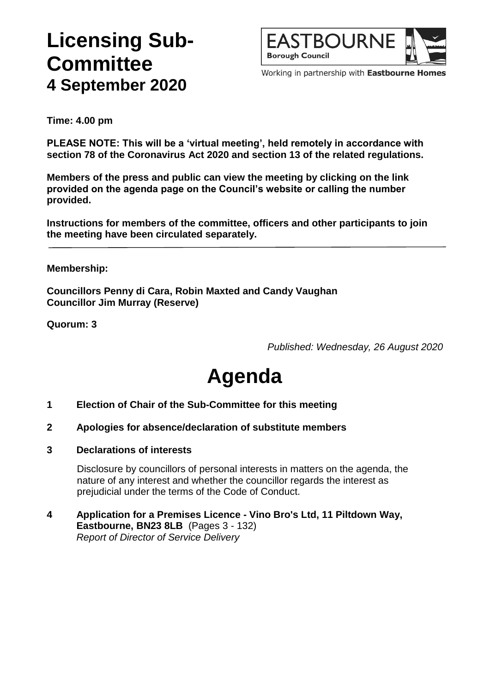## **Licensing Sub-Committee 4 September 2020**



Working in partnership with Eastbourne Homes

**Time: 4.00 pm**

**PLEASE NOTE: This will be a 'virtual meeting', held remotely in accordance with section 78 of the Coronavirus Act 2020 and section 13 of the related regulations.**

**Members of the press and public can view the meeting by clicking on the link provided on the agenda page on the Council's website or calling the number provided.**

**Instructions for members of the committee, officers and other participants to join the meeting have been circulated separately.**

#### **Membership:**

**Councillors Penny di Cara, Robin Maxted and Candy Vaughan Councillor Jim Murray (Reserve)**

**Quorum: 3**

*Published: Wednesday, 26 August 2020*

# **Agenda**

- **1 Election of Chair of the Sub-Committee for this meeting**
- **2 Apologies for absence/declaration of substitute members**
- **3 Declarations of interests**

Disclosure by councillors of personal interests in matters on the agenda, the nature of any interest and whether the councillor regards the interest as prejudicial under the terms of the Code of Conduct.

#### **4 Application for a Premises Licence - Vino Bro's Ltd, 11 Piltdown Way, Eastbourne, BN23 8LB** (Pages 3 - 132) *Report of Director of Service Delivery*